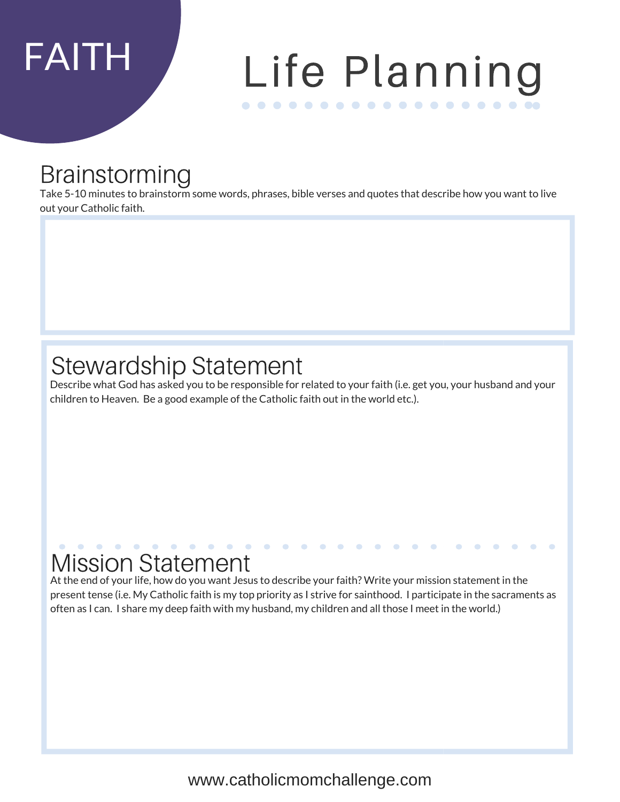# FAITH Life Planning . . . . . . . . . . . . . . . . . .

## Brainstorming

Take 5-10 minutes to brainstorm some words, phrases, bible verses and quotes that describe how you want to live out your Catholic faith.

## Stewardship Statement

Describe what God has asked you to be responsible for related to your faith (i.e. get you, your husband and your children to Heaven. Be a good example of the Catholic faith out in the world etc.).

## Mission Statement

At the end of your life, how do you want Jesus to describe your faith? Write your mission statement in the present tense (i.e. My Catholic faith is my top priority as I strive for sainthood. I participate in the sacraments as often as I can. I share my deep faith with my husband, my children and all those I meet in the world.)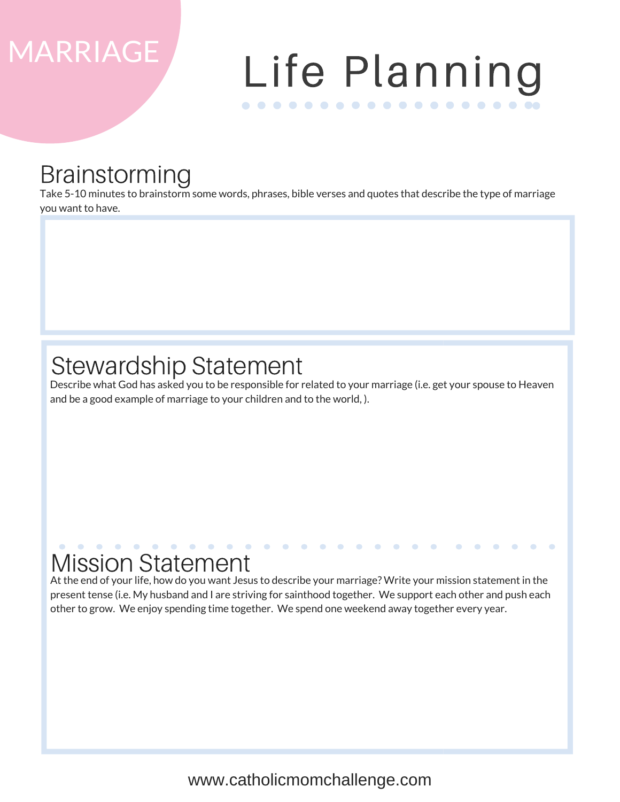# MARRIAGE Life Planning . . . . . . . . . . . . . . . . . .

## Brainstorming

Take 5-10 minutes to brainstorm some words, phrases, bible verses and quotes that describe the type of marriage you want to have.

## Stewardship Statement

Describe what God has asked you to be responsible for related to your marriage (i.e. get your spouse to Heaven and be a good example of marriage to your children and to the world, ).

## Mission Statement

At the end of your life, how do you want Jesus to describe your marriage? Write your mission statement in the present tense (i.e. My husband and I are striving for sainthood together. We support each other and push each other to grow. We enjoy spending time together. We spend one weekend away together every year.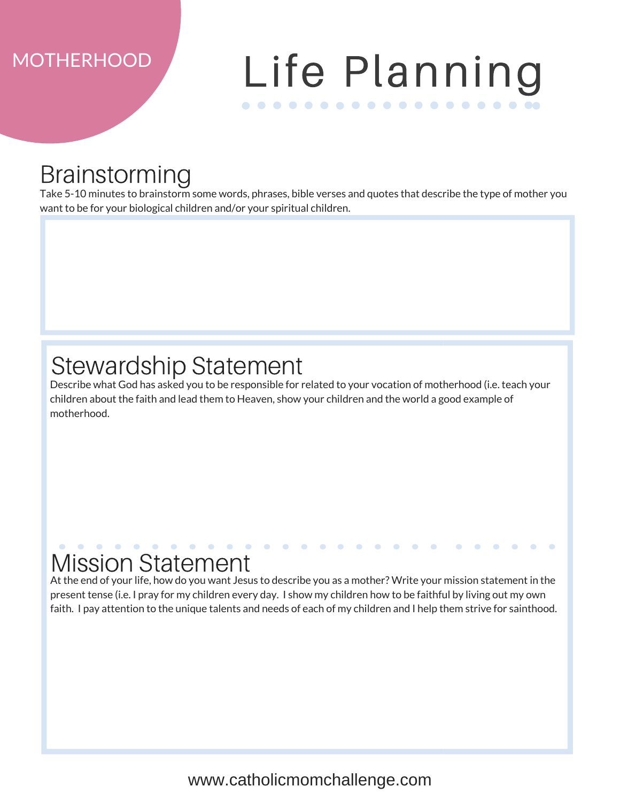# MOTHERHOOD Life Planning . . . . . . . . . . . . . . . . . .

## Brainstorming

Take 5-10 minutes to brainstorm some words, phrases, bible verses and quotes that describe the type of mother you want to be for your biological children and/or your spiritual children.

## Stewardship Statement

Describe what God has asked you to be responsible for related to your vocation of motherhood (i.e. teach your children about the faith and lead them to Heaven, show your children and the world a good example of motherhood.

## Mission Statement

At the end of your life, how do you want Jesus to describe you as a mother? Write your mission statement in the present tense (i.e. I pray for my children every day. I show my children how to be faithful by living out my own faith. I pay attention to the unique talents and needs of each of my children and I help them strive for sainthood.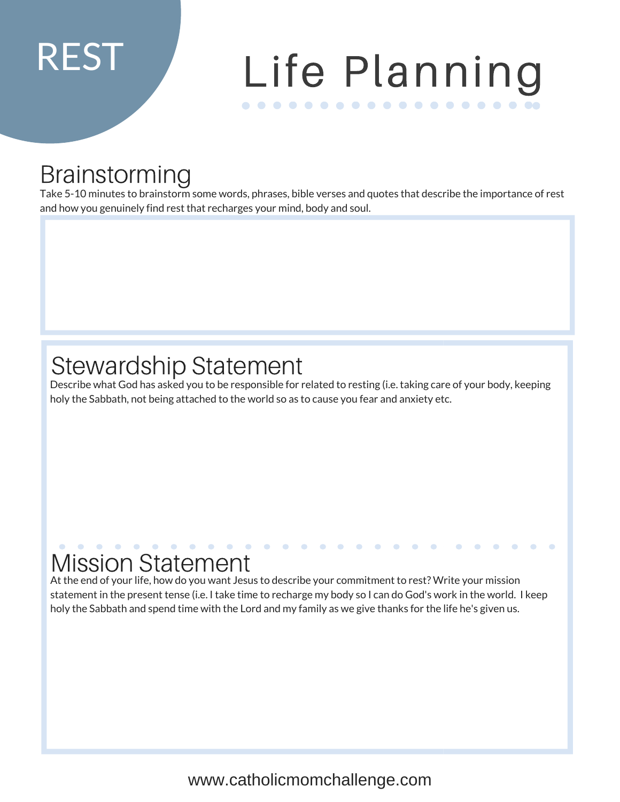# REST Life Planning . . . . . . . . . . . . . . . . . .

## Brainstorming

Take 5-10 minutes to brainstorm some words, phrases, bible verses and quotes that describe the importance of rest and how you genuinely find rest that recharges your mind, body and soul.

## Stewardship Statement

Describe what God has asked you to be responsible for related to resting (i.e. taking care of your body, keeping holy the Sabbath, not being attached to the world so as to cause you fear and anxiety etc.

## Mission Statement

At the end of your life, how do you want Jesus to describe your commitment to rest? Write your mission statement in the present tense (i.e. I take time to recharge my body so I can do God's work in the world. I keep holy the Sabbath and spend time with the Lord and my family as we give thanks for the life he's given us.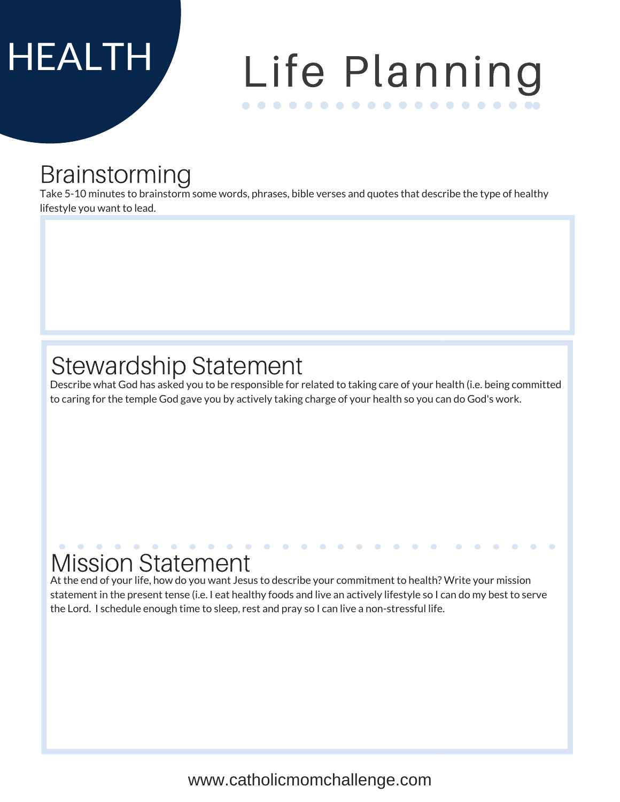# HEALTH Life Planning . . . . . . . . . . . . . . . . . .

## Brainstorming

Take 5-10 minutes to brainstorm some words, phrases, bible verses and quotes that describe the type of healthy lifestyle you want to lead.

## Stewardship Statement

Describe what God has asked you to be responsible for related to taking care of your health (i.e. being committed to caring for the temple God gave you by actively taking charge of your health so you can do God's work.

## Mission Statement

At the end of your life, how do you want Jesus to describe your commitment to health? Write your mission statement in the present tense (i.e. I eat healthy foods and live an actively lifestyle so I can do my best to serve the Lord. I schedule enough time to sleep, rest and pray so I can live a non-stressful life.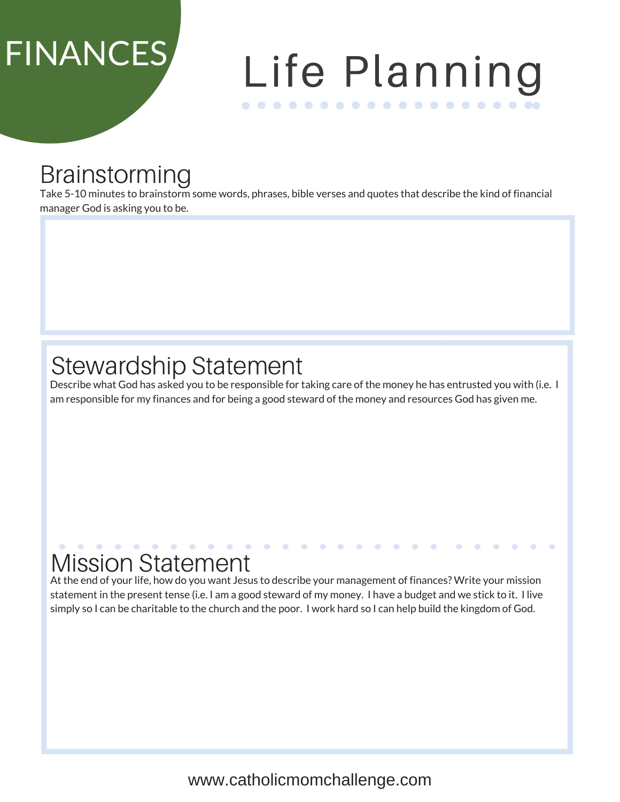# FINANCES Life Planning . . . . . . . . . . . . . . . . . .

## Brainstorming

Take 5-10 minutes to brainstorm some words, phrases, bible verses and quotes that describe the kind of financial manager God is asking you to be.

## Stewardship Statement

Describe what God has asked you to be responsible for taking care of the money he has entrusted you with (i.e. I am responsible for my finances and for being a good steward of the money and resources God has given me.

## Mission Statement

At the end of your life, how do you want Jesus to describe your management of finances? Write your mission statement in the present tense (i.e. I am a good steward of my money. I have a budget and we stick to it. I live simply so I can be charitable to the church and the poor. I work hard so I can help build the kingdom of God.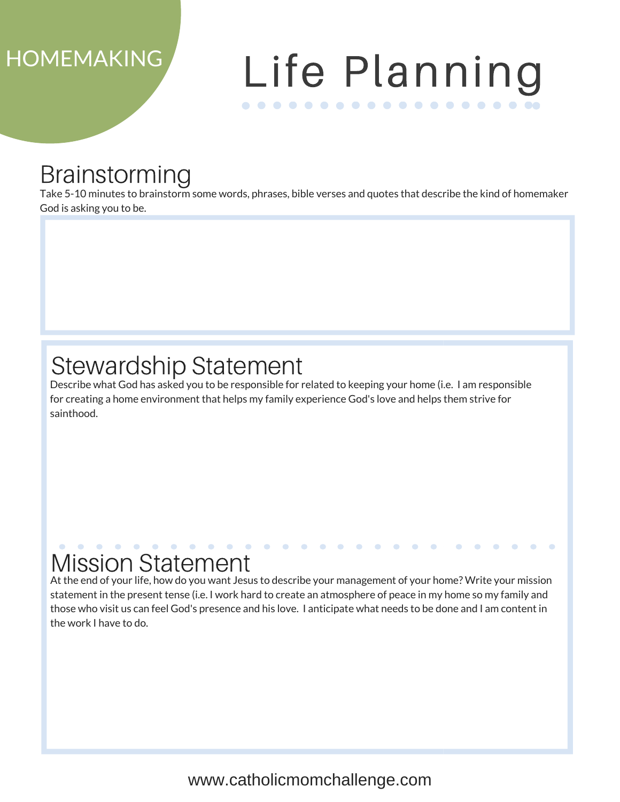# HOMEMAKING Life Planning . . . . . . . . . . . . . . . . . .

## Brainstorming

Take 5-10 minutes to brainstorm some words, phrases, bible verses and quotes that describe the kind of homemaker God is asking you to be.

## Stewardship Statement

Describe what God has asked you to be responsible for related to keeping your home (i.e. I am responsible for creating a home environment that helps my family experience God's love and helps them strive for sainthood.

## Mission Statement

At the end of your life, how do you want Jesus to describe your management of your home? Write your mission statement in the present tense (i.e. I work hard to create an atmosphere of peace in my home so my family and those who visit us can feel God's presence and his love. I anticipate what needs to be done and I am content in the work I have to do.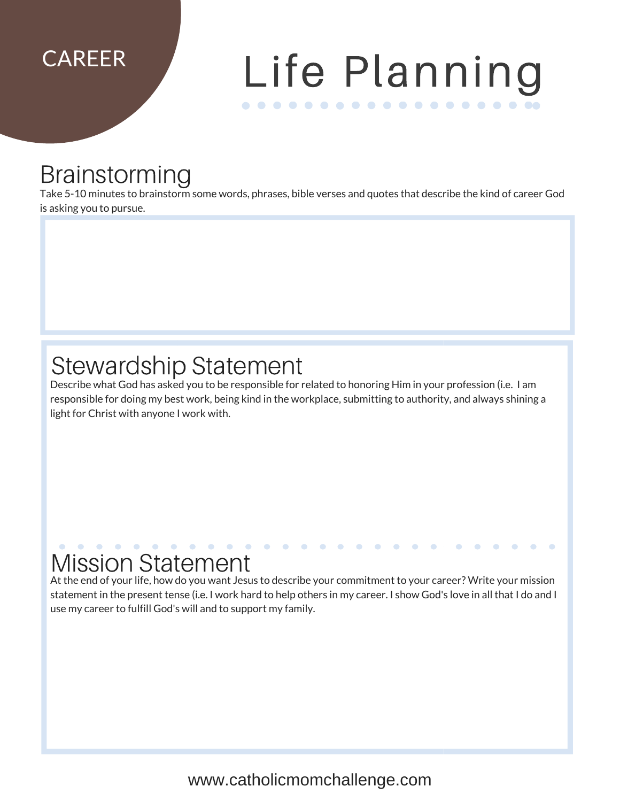# CAREER Life Planning . . . . . . . . . . . . . . . . . .

## Brainstorming

Take 5-10 minutes to brainstorm some words, phrases, bible verses and quotes that describe the kind of career God is asking you to pursue.

## Stewardship Statement

Describe what God has asked you to be responsible for related to honoring Him in your profession (i.e. I am responsible for doing my best work, being kind in the workplace, submitting to authority, and always shining a light for Christ with anyone I work with.

## Mission Statement

At the end of your life, how do you want Jesus to describe your commitment to your career? Write your mission statement in the present tense (i.e. I work hard to help others in my career. I show God's love in all that I do and I use my career to fulfill God's will and to support my family.